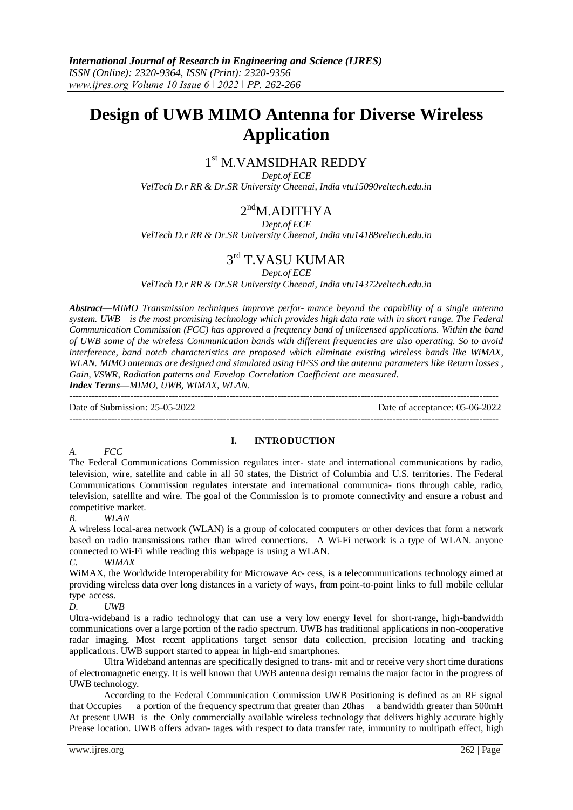# **Design of UWB MIMO Antenna for Diverse Wireless Application**

## 1 st M.VAMSIDHAR REDDY

*Dept.of ECE VelTech D.r RR & Dr.SR University Cheenai, India vtu15090veltech.edu.in*

## $2<sup>nd</sup>M$ .ADITHYA

*Dept.of ECE*

*VelTech D.r RR & Dr.SR University Cheenai, India vtu14188veltech.edu.in*

## 3<sup>rd</sup> T.VASU KUMAR

*Dept.of ECE*

*VelTech D.r RR & Dr.SR University Cheenai, India vtu14372veltech.edu.in*

*Abstract—MIMO Transmission techniques improve perfor- mance beyond the capability of a single antenna system. UWB is the most promising technology which provides high data rate with in short range. The Federal Communication Commission (FCC) has approved a frequency band of unlicensed applications. Within the band of UWB some of the wireless Communication bands with different frequencies are also operating. So to avoid interference, band notch characteristics are proposed which eliminate existing wireless bands like WiMAX, WLAN. MIMO antennas are designed and simulated using HFSS and the antenna parameters like Return losses , Gain, VSWR, Radiation patterns and Envelop Correlation Coefficient are measured.*

*Index Terms—MIMO, UWB, WIMAX, WLAN.*

-------------------------------------------------------------------------------------------------------------------------------------- Date of Submission: 25-05-2022 Date of acceptance: 05-06-2022 --------------------------------------------------------------------------------------------------------------------------------------

*A. FCC*

#### **I. INTRODUCTION**

The Federal Communications Commission regulates inter- state and international communications by radio, television, wire, satellite and cable in all 50 states, the District of Columbia and U.S. territories. The Federal Communications Commission regulates interstate and international communica- tions through cable, radio, television, satellite and wire. The goal of the Commission is to promote connectivity and ensure a robust and competitive market.

*B. WLAN*

A wireless local-area network (WLAN) is a group of colocated computers or other devices that form a network based on radio transmissions rather than wired connections. A Wi-Fi network is a type of WLAN. anyone connected to Wi-Fi while reading this webpage is using a WLAN.

*C. WIMAX*

WiMAX, the Worldwide Interoperability for Microwave Ac- cess, is a telecommunications technology aimed at providing wireless data over long distances in a variety of ways, from point-to-point links to full mobile cellular type access.

*D. UWB*

Ultra-wideband is a radio technology that can use a very low energy level for short-range, high-bandwidth communications over a large portion of the radio spectrum. UWB has traditional applications in non-cooperative radar imaging. Most recent applications target sensor data collection, precision locating and tracking applications. UWB support started to appear in high-end smartphones.

Ultra Wideband antennas are specifically designed to trans- mit and or receive very short time durations of electromagnetic energy. It is well known that UWB antenna design remains the major factor in the progress of UWB technology.

According to the Federal Communication Commission UWB Positioning is defined as an RF signal that Occupies a portion of the frequency spectrum that greater than 20has a bandwidth greater than 500mH At present UWB is the Only commercially available wireless technology that delivers highly accurate highly Prease location. UWB offers advan- tages with respect to data transfer rate, immunity to multipath effect, high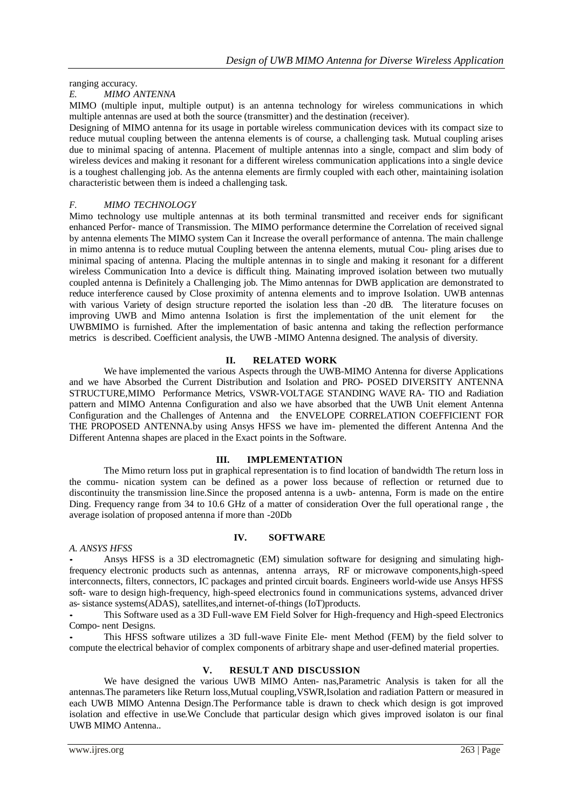ranging accuracy.

#### *E. MIMO ANTENNA*

MIMO (multiple input, multiple output) is an antenna technology for wireless communications in which multiple antennas are used at both the source (transmitter) and the destination (receiver).

Designing of MIMO antenna for its usage in portable wireless communication devices with its compact size to reduce mutual coupling between the antenna elements is of course, a challenging task. Mutual coupling arises due to minimal spacing of antenna. Placement of multiple antennas into a single, compact and slim body of wireless devices and making it resonant for a different wireless communication applications into a single device is a toughest challenging job. As the antenna elements are firmly coupled with each other, maintaining isolation characteristic between them is indeed a challenging task.

#### *F. MIMO TECHNOLOGY*

Mimo technology use multiple antennas at its both terminal transmitted and receiver ends for significant enhanced Perfor- mance of Transmission. The MIMO performance determine the Correlation of received signal by antenna elements The MIMO system Can it Increase the overall performance of antenna. The main challenge in mimo antenna is to reduce mutual Coupling between the antenna elements, mutual Cou- pling arises due to minimal spacing of antenna. Placing the multiple antennas in to single and making it resonant for a different wireless Communication Into a device is difficult thing. Mainating improved isolation between two mutually coupled antenna is Definitely a Challenging job. The Mimo antennas for DWB application are demonstrated to reduce interference caused by Close proximity of antenna elements and to improve Isolation. UWB antennas with various Variety of design structure reported the isolation less than -20 dB. The literature focuses on improving UWB and Mimo antenna Isolation is first the implementation of the unit element for the UWBMIMO is furnished. After the implementation of basic antenna and taking the reflection performance metrics is described. Coefficient analysis, the UWB -MIMO Antenna designed. The analysis of diversity.

#### **II. RELATED WORK**

We have implemented the various Aspects through the UWB-MIMO Antenna for diverse Applications and we have Absorbed the Current Distribution and Isolation and PRO- POSED DIVERSITY ANTENNA STRUCTURE,MIMO Performance Metrics, VSWR-VOLTAGE STANDING WAVE RA- TIO and Radiation pattern and MIMO Antenna Configuration and also we have absorbed that the UWB Unit element Antenna Configuration and the Challenges of Antenna and the ENVELOPE CORRELATION COEFFICIENT FOR THE PROPOSED ANTENNA.by using Ansys HFSS we have im- plemented the different Antenna And the Different Antenna shapes are placed in the Exact points in the Software.

#### **III. IMPLEMENTATION**

The Mimo return loss put in graphical representation is to find location of bandwidth The return loss in the commu- nication system can be defined as a power loss because of reflection or returned due to discontinuity the transmission line.Since the proposed antenna is a uwb- antenna, Form is made on the entire Ding. Frequency range from 34 to 10.6 GHz of a matter of consideration Over the full operational range , the average isolation of proposed antenna if more than -20Db

#### *A. ANSYS HFSS*

### **IV. SOFTWARE**

*•* Ansys HFSS is a 3D electromagnetic (EM) simulation software for designing and simulating highfrequency electronic products such as antennas, antenna arrays, RF or microwave components,high-speed interconnects, filters, connectors, IC packages and printed circuit boards. Engineers world-wide use Ansys HFSS soft- ware to design high-frequency, high-speed electronics found in communications systems, advanced driver as- sistance systems(ADAS), satellites,and internet-of-things (IoT)products.

*•* This Software used as a 3D Full-wave EM Field Solver for High-frequency and High-speed Electronics Compo- nent Designs.

*•* This HFSS software utilizes a 3D full-wave Finite Ele- ment Method (FEM) by the field solver to compute the electrical behavior of complex components of arbitrary shape and user-defined material properties.

#### **V. RESULT AND DISCUSSION**

We have designed the various UWB MIMO Anten- nas,Parametric Analysis is taken for all the antennas.The parameters like Return loss,Mutual coupling,VSWR,Isolation and radiation Pattern or measured in each UWB MIMO Antenna Design.The Performance table is drawn to check which design is got improved isolation and effective in use.We Conclude that particular design which gives improved isolaton is our final UWB MIMO Antenna..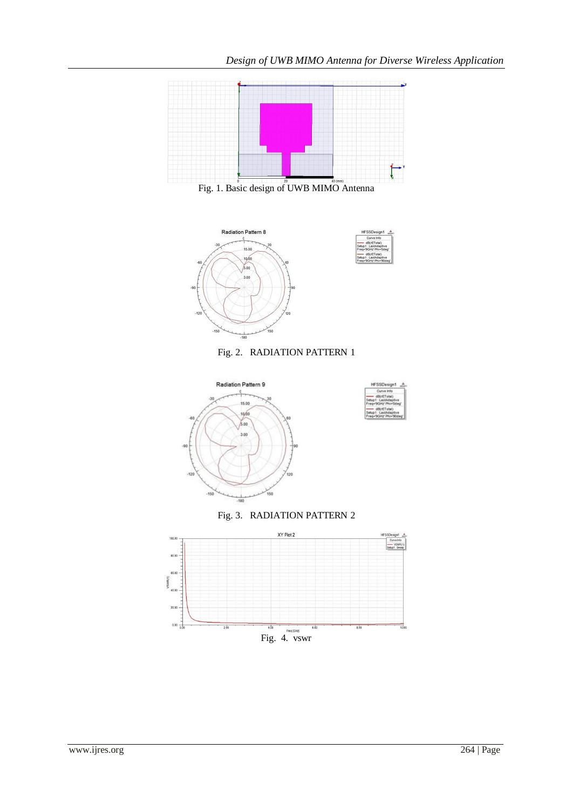**FSSDes** 



Fig. 1. Basic design of UWB MIMO Antenna









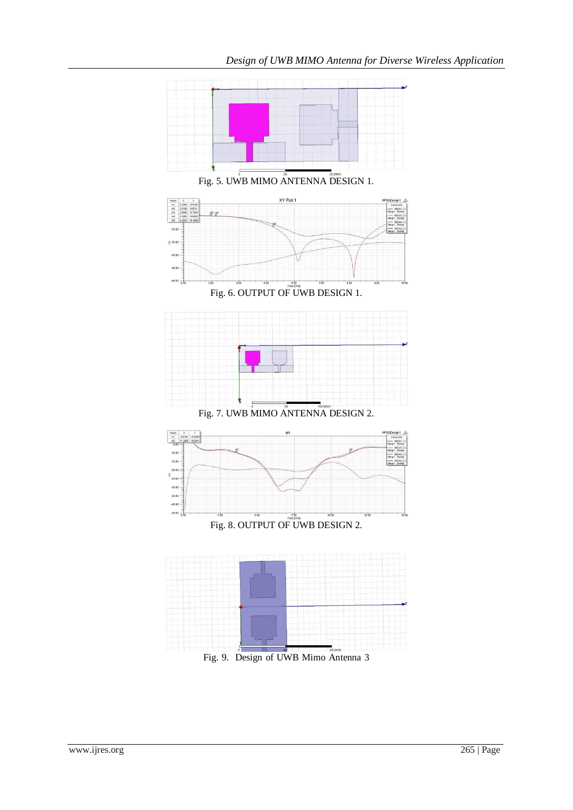

Fig. 5. UWB MIMO ANTENNA DESIGN 1.



Fig. 6. OUTPUT OF UWB DESIGN 1.



Fig. 7. UWB MIMO ANTENNA DESIGN 2.





Fig. 9. Design of UWB Mimo Antenna 3